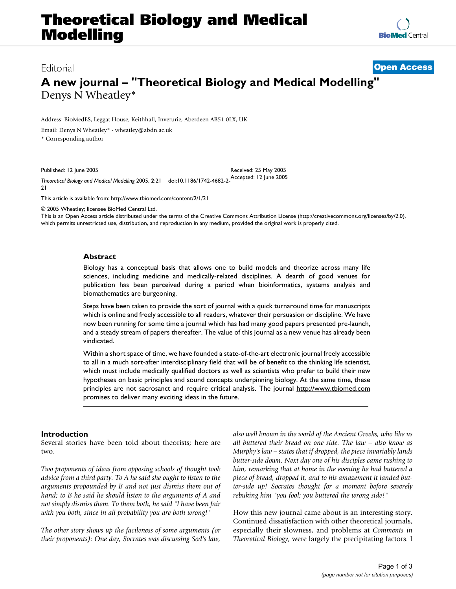# Editorial **[Open Access](http://www.biomedcentral.com/info/about/charter/)**

# **A new journal – "Theoretical Biology and Medical Modelling"** Denys N Wheatley\*

Address: BioMedES, Leggat House, Keithhall, Inverurie, Aberdeen AB51 0LX, UK

Email: Denys N Wheatley\* - wheatley@abdn.ac.uk

\* Corresponding author

Published: 12 June 2005

Received: 25 May 2005

*Theoretical Biology and Medical Modelling* 2005, **2**:21 doi:10.1186/1742-4682-2- Accepted: 12 June 2005 21

[This article is available from: http://www.tbiomed.com/content/2/1/21](http://www.tbiomed.com/content/2/1/21)

© 2005 Wheatley; licensee BioMed Central Ltd.

This is an Open Access article distributed under the terms of the Creative Commons Attribution License [\(http://creativecommons.org/licenses/by/2.0\)](http://creativecommons.org/licenses/by/2.0), which permits unrestricted use, distribution, and reproduction in any medium, provided the original work is properly cited.

#### **Abstract**

Biology has a conceptual basis that allows one to build models and theorize across many life sciences, including medicine and medically-related disciplines. A dearth of good venues for publication has been perceived during a period when bioinformatics, systems analysis and biomathematics are burgeoning.

Steps have been taken to provide the sort of journal with a quick turnaround time for manuscripts which is online and freely accessible to all readers, whatever their persuasion or discipline. We have now been running for some time a journal which has had many good papers presented pre-launch, and a steady stream of papers thereafter. The value of this journal as a new venue has already been vindicated.

[Within a short space of time, we have founded a state-of-the-art electronic journal freely accessible](http://www.tbiomed.com) to all in a much sort-after interdisciplinary field that will be of benefit to the thinking life scientist, [which must include medically qualified doctors as well as scientists who prefer to build their new](http://www.tbiomed.com) hypotheses on basic principles and sound concepts underpinning biology. At the same time, these [principles are not sacrosanct and require critical analysis. The journal](http://www.tbiomed.com) http://www.tbiomed.com promises to deliver many exciting ideas in the future.

#### **Introduction**

Several stories have been told about theorists; here are two.

*Two proponents of ideas from opposing schools of thought took advice from a third party. To A he said she ought to listen to the arguments propounded by B and not just dismiss them out of hand; to B he said he should listen to the arguments of A and not simply dismiss them. To them both, he said "I have been fair with you both, since in all probability you are both wrong!"*

*The other story shows up the facileness of some arguments (or their proponents): One day, Socrates was discussing Sod's law,*

*also well known in the world of the Ancient Greeks, who like us all buttered their bread on one side. The law – also know as Murphy's law – states that if dropped, the piece invariably lands butter-side down. Next day one of his disciples came rushing to him, remarking that at home in the evening he had buttered a piece of bread, dropped it, and to his amazement it landed butter-side up! Socrates thought for a moment before severely rebuking him "you fool; you buttered the wrong side!"*

How this new journal came about is an interesting story. Continued dissatisfaction with other theoretical journals, especially their slowness, and problems at *Comments in Theoretical Biology*, were largely the precipitating factors. I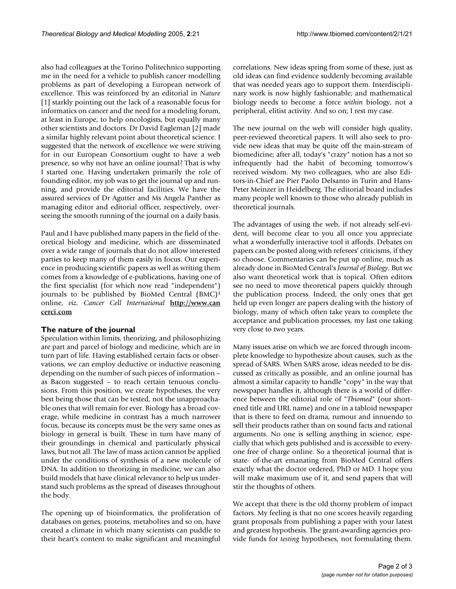also had colleagues at the Torino Politechnico supporting me in the need for a vehicle to publish cancer modelling problems as part of developing a European network of excellence. This was reinforced by an editorial in *Nature* [1] starkly pointing out the lack of a reasonable focus for informatics on cancer and the need for a modeling forum, at least in Europe, to help oncologists, but equally many other scientists and doctors. Dr David Eagleman [2] made a similar highly relevant point about theoretical science. I suggested that the network of excellence we were striving for in our European Consortium ought to have a web presence, so why not have an online journal? That is why I started one. Having undertaken primarily the role of founding editor, my job was to get the journal up and running, and provide the editorial facilities. We have the assured services of Dr Agutter and Ms Angela Panther as managing editor and editorial officer, respectively, overseeing the smooth running of the journal on a daily basis.

Paul and I have published many papers in the field of theoretical biology and medicine, which are disseminated over a wide range of journals that do not allow interested parties to keep many of them easily in focus. Our experience in producing scientific papers as well as writing them comes from a knowledge of e-publications, having one of the first specialist (for which now read "independent") journals to be published by BioMed Central (BMC)3 online, *viz. Cancer Cell International* **[http://www.can](http://www.cancerci.com) [cerci.com](http://www.cancerci.com)**

# **The nature of the journal**

Speculation within limits, theorizing, and philosophizing are part and parcel of biology and medicine, which are in turn part of life. Having established certain facts or observations, we can employ deductive or inductive reasoning depending on the number of such pieces of information – as Bacon suggested – to reach certain tenuous conclusions. From this position, we create hypotheses, the very best being those that can be tested, not the unapproachable ones that will remain for ever. Biology has a broad coverage, while medicine in contrast has a much narrower focus, because its concepts must be the very same ones as biology in general is built. These in turn have many of their groundings in chemical and particularly physical laws, but not all. The law of mass action cannot be applied under the conditions of synthesis of a new molecule of DNA. In addition to theorizing in medicine, we can also build models that have clinical relevance to help us understand such problems as the spread of diseases throughout the body.

The opening up of bioinformatics, the proliferation of databases on genes, proteins, metabolites and so on, have created a climate in which many scientists can puddle to their heart's content to make significant and meaningful

correlations. New ideas spring from some of these, just as old ideas can find evidence suddenly becoming available that was needed years ago to support them. Interdisciplinary work is now highly fashionable; and mathematical biology needs to become a force *within* biology, not a peripheral, elitist activity. And so on; I rest my case.

The new journal on the web will consider high quality, peer-reviewed theoretical papers. It will also seek to provide new ideas that may be quite off the main-stream of biomedicine; after all, today's "crazy" notion has a not so infrequently had the habit of becoming tomorrow's received wisdom. My two colleagues, who are also Editors-in-Chief are Pier Paolo Delsanto in Turin and Hans-Peter Meinzer in Heidelberg. The editorial board includes many people well known to those who already publish in theoretical journals.

The advantages of using the web, if not already self-evident, will become clear to you all once you appreciate what a wonderfully interactive tool it affords. Debates on papers can be posted along with referees' criticisms, if they so choose. Commentaries can be put up online, much as already done in BioMed Central's *Journal of Biology.* But we also want theoretical work that is topical. Often editors see no need to move theoretical papers quickly through the publication process. Indeed, the only ones that get held up even longer are papers dealing with the history of biology, many of which often take years to complete the acceptance and publication processes, my last one taking very close to two years.

Many issues arise on which we are forced through incomplete knowledge to hypothesize about causes, such as the spread of SARS. When SARS arose, ideas needed to be discussed as critically as possible, and an online journal has almost a similar capacity to handle "copy" in the way that newspaper handles it, although there is a world of difference between the editorial role of "*Tbiomed*" (our shortened title and URL name) and one in a tabloid newspaper that is there to feed on drama, rumour and innuendo to sell their products rather than on sound facts and rational arguments. No one is selling anything in science, especially that which gets published and is accessible to everyone free of charge online. So a theoretical journal that is state- of-the-art emanating from BioMed Central offers exactly what the doctor ordered, PhD or MD. I hope you will make maximum use of it, and send papers that will stir the thoughts of others.

We accept that there is the old thorny problem of impact factors. My feeling is that no one scores heavily regarding grant proposals from publishing a paper with your latest and greatest hypothesis. The grant-awarding agencies provide funds for *testing* hypotheses, not formulating them.